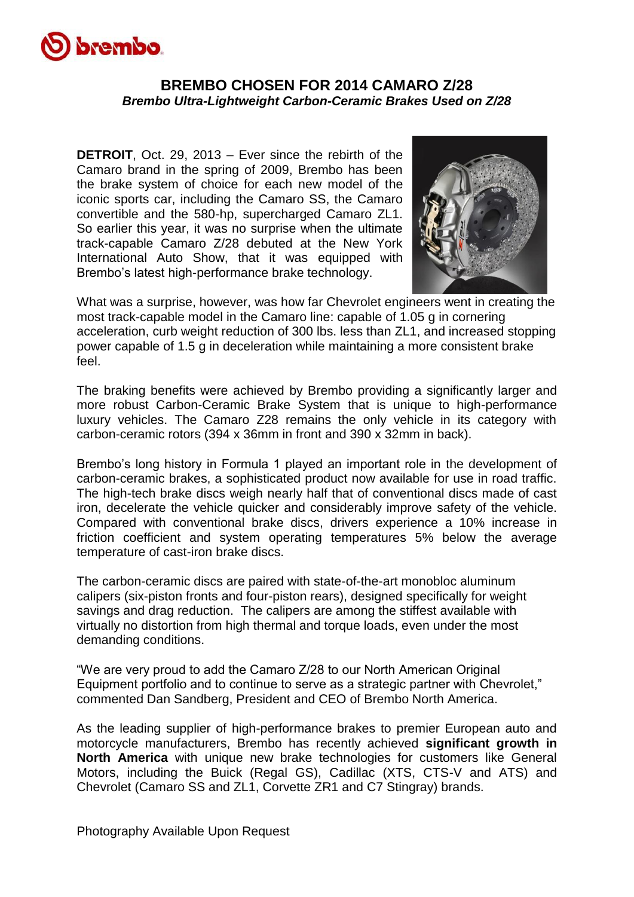

## **BREMBO CHOSEN FOR 2014 CAMARO Z/28** *Brembo Ultra-Lightweight Carbon-Ceramic Brakes Used on Z/28*

**DETROIT**, Oct. 29, 2013 – Ever since the rebirth of the Camaro brand in the spring of 2009, Brembo has been the brake system of choice for each new model of the iconic sports car, including the Camaro SS, the Camaro convertible and the 580-hp, supercharged Camaro ZL1. So earlier this year, it was no surprise when the ultimate track-capable Camaro Z/28 debuted at the New York International Auto Show, that it was equipped with Brembo's latest high-performance brake technology.



What was a surprise, however, was how far Chevrolet engineers went in creating the most track-capable model in the Camaro line: capable of 1.05 g in cornering acceleration, curb weight reduction of 300 lbs. less than ZL1, and increased stopping power capable of 1.5 g in deceleration while maintaining a more consistent brake feel.

The braking benefits were achieved by Brembo providing a significantly larger and more robust Carbon-Ceramic Brake System that is unique to high-performance luxury vehicles. The Camaro Z28 remains the only vehicle in its category with carbon-ceramic rotors (394 x 36mm in front and 390 x 32mm in back).

Brembo's long history in Formula 1 played an important role in the development of carbon-ceramic brakes, a sophisticated product now available for use in road traffic. The high-tech brake discs weigh nearly half that of conventional discs made of cast iron, decelerate the vehicle quicker and considerably improve safety of the vehicle. Compared with conventional brake discs, drivers experience a 10% increase in friction coefficient and system operating temperatures 5% below the average temperature of cast-iron brake discs.

The carbon-ceramic discs are paired with state-of-the-art monobloc aluminum calipers (six-piston fronts and four-piston rears), designed specifically for weight savings and drag reduction. The calipers are among the stiffest available with virtually no distortion from high thermal and torque loads, even under the most demanding conditions.

"We are very proud to add the Camaro Z/28 to our North American Original Equipment portfolio and to continue to serve as a strategic partner with Chevrolet," commented Dan Sandberg, President and CEO of Brembo North America.

As the leading supplier of high-performance brakes to premier European auto and motorcycle manufacturers, Brembo has recently achieved **significant growth in North America** with unique new brake technologies for customers like General Motors, including the Buick (Regal GS), Cadillac (XTS, CTS-V and ATS) and Chevrolet (Camaro SS and ZL1, Corvette ZR1 and C7 Stingray) brands.